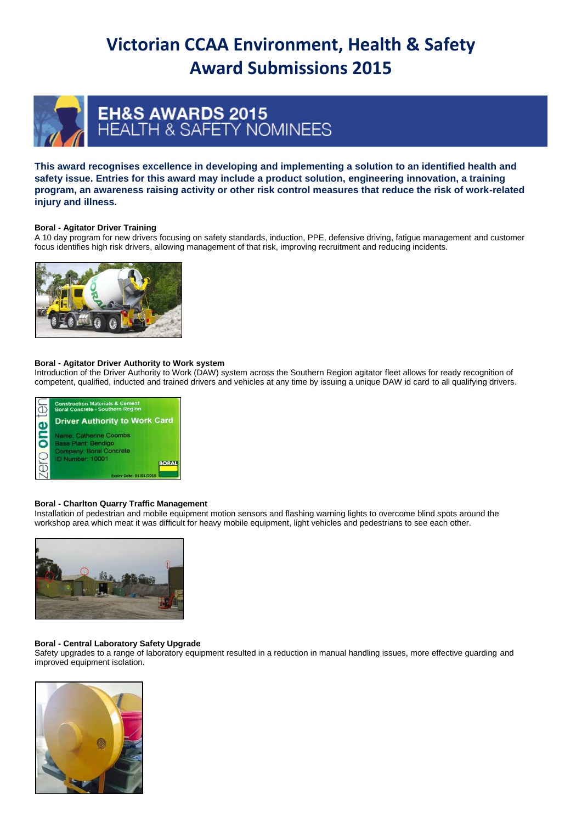# **Victorian CCAA Environment, Health & Safety Award Submissions 2015**



# EH&S AWARDS 2015<br>HEALTH & SAFETY NOMINEES

**This award recognises excellence in developing and implementing a solution to an identified health and safety issue. Entries for this award may include a product solution, engineering innovation, a training program, an awareness raising activity or other risk control measures that reduce the risk of work-related injury and illness.**

# **Boral - Agitator Driver Training**

A 10 day program for new drivers focusing on safety standards, induction, PPE, defensive driving, fatigue management and customer focus identifies high risk drivers, allowing management of that risk, improving recruitment and reducing incidents.



# **Boral - Agitator Driver Authority to Work system**

Introduction of the Driver Authority to Work (DAW) system across the Southern Region agitator fleet allows for ready recognition of competent, qualified, inducted and trained drivers and vehicles at any time by issuing a unique DAW id card to all qualifying drivers.



# **Boral - Charlton Quarry Traffic Management**

Installation of pedestrian and mobile equipment motion sensors and flashing warning lights to overcome blind spots around the workshop area which meat it was difficult for heavy mobile equipment, light vehicles and pedestrians to see each other.



# **Boral - Central Laboratory Safety Upgrade**

Safety upgrades to a range of laboratory equipment resulted in a reduction in manual handling issues, more effective guarding and improved equipment isolation.

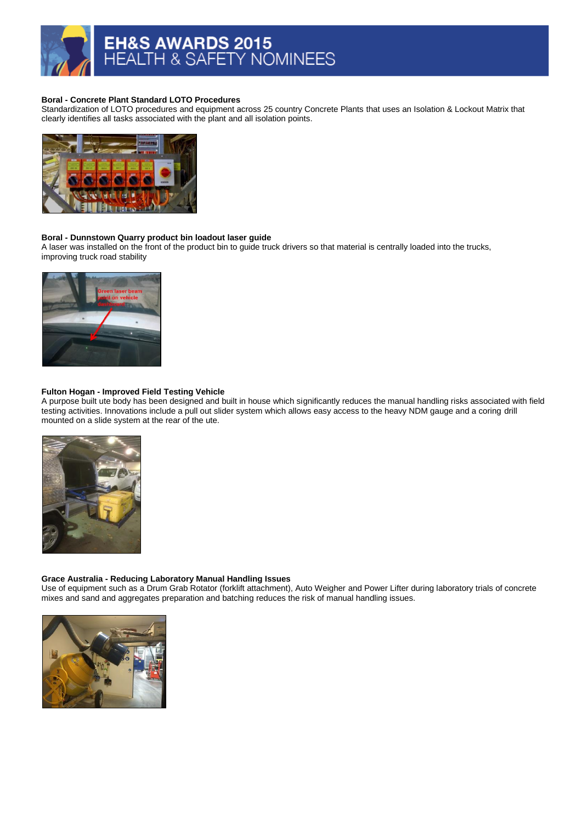

# **Boral - Concrete Plant Standard LOTO Procedures**

Standardization of LOTO procedures and equipment across 25 country Concrete Plants that uses an Isolation & Lockout Matrix that clearly identifies all tasks associated with the plant and all isolation points.



# **Boral - Dunnstown Quarry product bin loadout laser guide**

A laser was installed on the front of the product bin to guide truck drivers so that material is centrally loaded into the trucks, improving truck road stability



# **Fulton Hogan - Improved Field Testing Vehicle**

A purpose built ute body has been designed and built in house which significantly reduces the manual handling risks associated with field testing activities. Innovations include a pull out slider system which allows easy access to the heavy NDM gauge and a coring drill mounted on a slide system at the rear of the ute.



# **Grace Australia - Reducing Laboratory Manual Handling Issues**

Use of equipment such as a Drum Grab Rotator (forklift attachment), Auto Weigher and Power Lifter during laboratory trials of concrete mixes and sand and aggregates preparation and batching reduces the risk of manual handling issues.

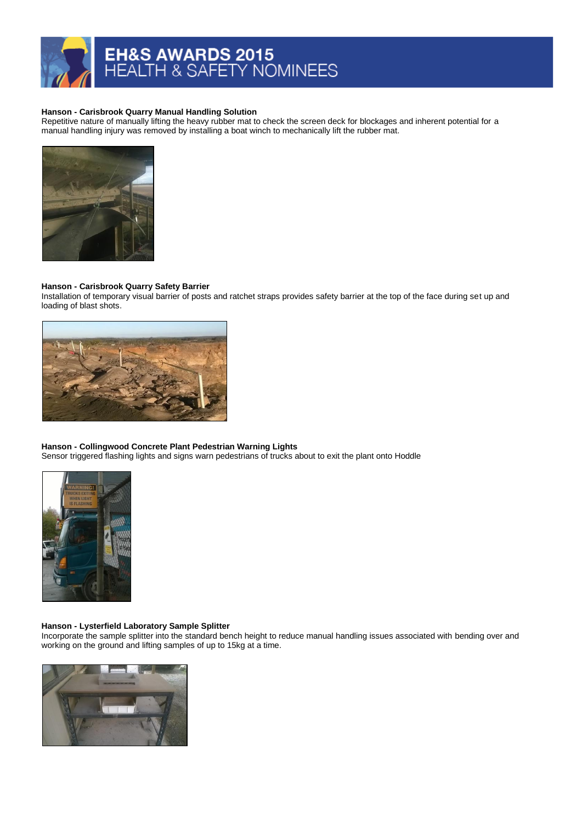# EH&S AWARDS 2015<br>HEALTH & SAFETY NOMINEES

#### **Hanson - Carisbrook Quarry Manual Handling Solution**

Repetitive nature of manually lifting the heavy rubber mat to check the screen deck for blockages and inherent potential for a manual handling injury was removed by installing a boat winch to mechanically lift the rubber mat.



#### **Hanson - Carisbrook Quarry Safety Barrier**

Installation of temporary visual barrier of posts and ratchet straps provides safety barrier at the top of the face during set up and loading of blast shots.



# **Hanson - Collingwood Concrete Plant Pedestrian Warning Lights**

Sensor triggered flashing lights and signs warn pedestrians of trucks about to exit the plant onto Hoddle



# **Hanson - Lysterfield Laboratory Sample Splitter**

Incorporate the sample splitter into the standard bench height to reduce manual handling issues associated with bending over and working on the ground and lifting samples of up to 15kg at a time.

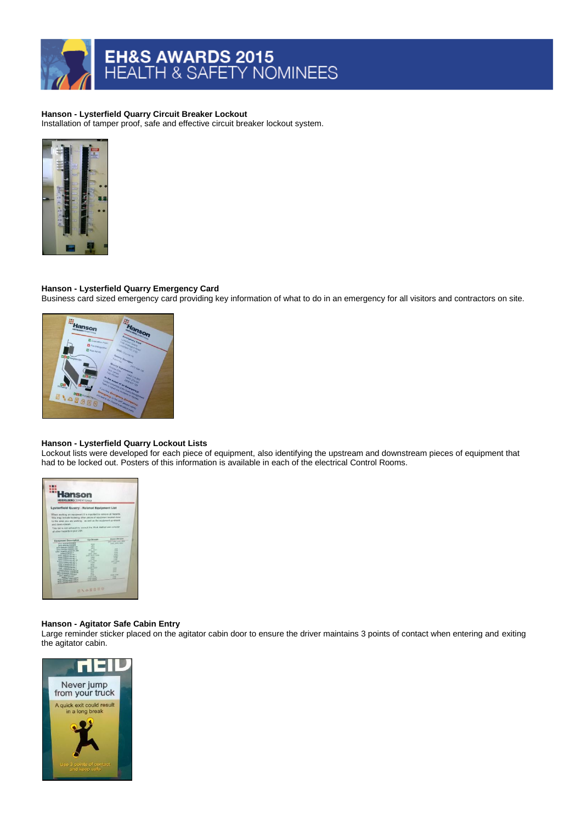# **Hanson - Lysterfield Quarry Circuit Breaker Lockout**

Installation of tamper proof, safe and effective circuit breaker lockout system.



# **Hanson - Lysterfield Quarry Emergency Card**

Business card sized emergency card providing key information of what to do in an emergency for all visitors and contractors on site.



#### **Hanson - Lysterfield Quarry Lockout Lists**

Lockout lists were developed for each piece of equipment, also identifying the upstream and downstream pieces of equipment that had to be locked out. Posters of this information is available in each of the electrical Control Rooms.



# **Hanson - Agitator Safe Cabin Entry**

Large reminder sticker placed on the agitator cabin door to ensure the driver maintains 3 points of contact when entering and exiting the agitator cabin.

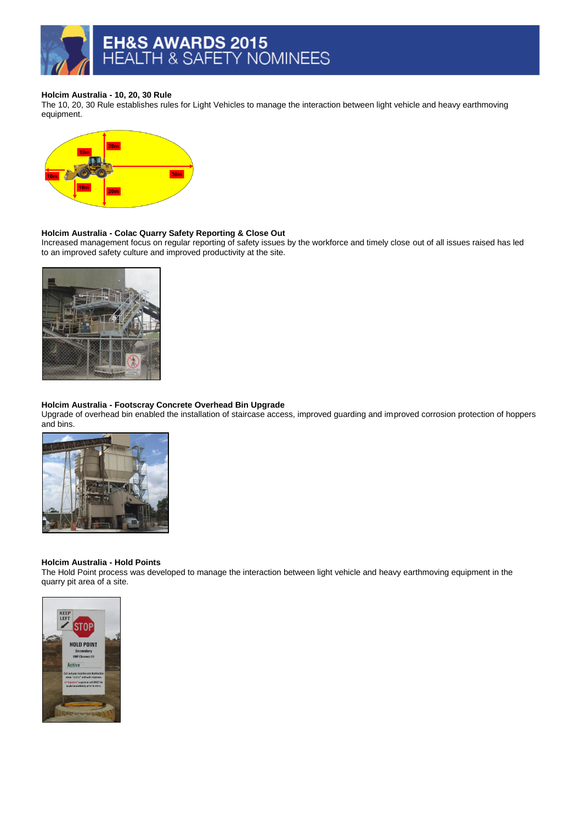# **Holcim Australia - 10, 20, 30 Rule**

The 10, 20, 30 Rule establishes rules for Light Vehicles to manage the interaction between light vehicle and heavy earthmoving equipment.



# **Holcim Australia - Colac Quarry Safety Reporting & Close Out**

Increased management focus on regular reporting of safety issues by the workforce and timely close out of all issues raised has led to an improved safety culture and improved productivity at the site.



# **Holcim Australia - Footscray Concrete Overhead Bin Upgrade**

Upgrade of overhead bin enabled the installation of staircase access, improved guarding and improved corrosion protection of hoppers and bins.



#### **Holcim Australia - Hold Points**

The Hold Point process was developed to manage the interaction between light vehicle and heavy earthmoving equipment in the quarry pit area of a site.

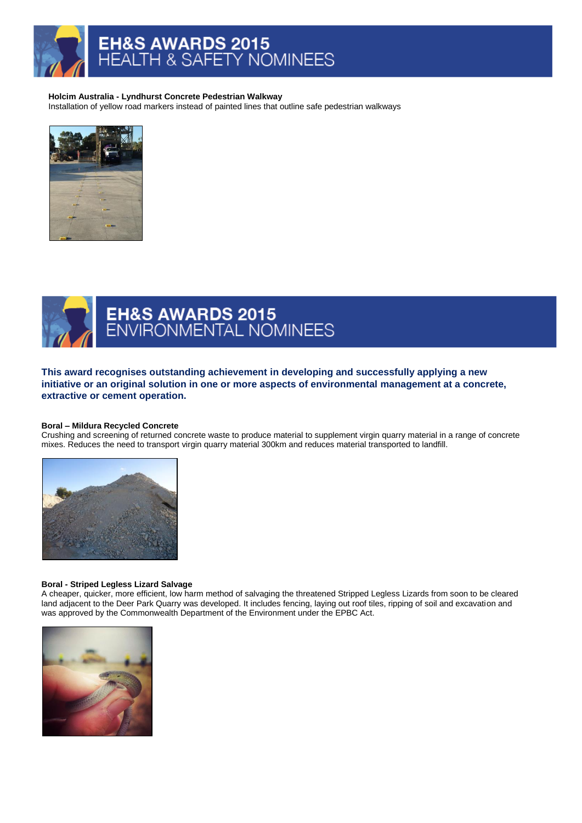

#### **Holcim Australia - Lyndhurst Concrete Pedestrian Walkway**

Installation of yellow road markers instead of painted lines that outline safe pedestrian walkways





# EH&S AWARDS 2015<br>ENVIRONMENTAL NOMINEES

**This award recognises outstanding achievement in developing and successfully applying a new initiative or an original solution in one or more aspects of environmental management at a concrete, extractive or cement operation.**

# **Boral – Mildura Recycled Concrete**

Crushing and screening of returned concrete waste to produce material to supplement virgin quarry material in a range of concrete mixes. Reduces the need to transport virgin quarry material 300km and reduces material transported to landfill.



#### **Boral - Striped Legless Lizard Salvage**

A cheaper, quicker, more efficient, low harm method of salvaging the threatened Stripped Legless Lizards from soon to be cleared land adjacent to the Deer Park Quarry was developed. It includes fencing, laying out roof tiles, ripping of soil and excavation and was approved by the Commonwealth Department of the Environment under the EPBC Act.